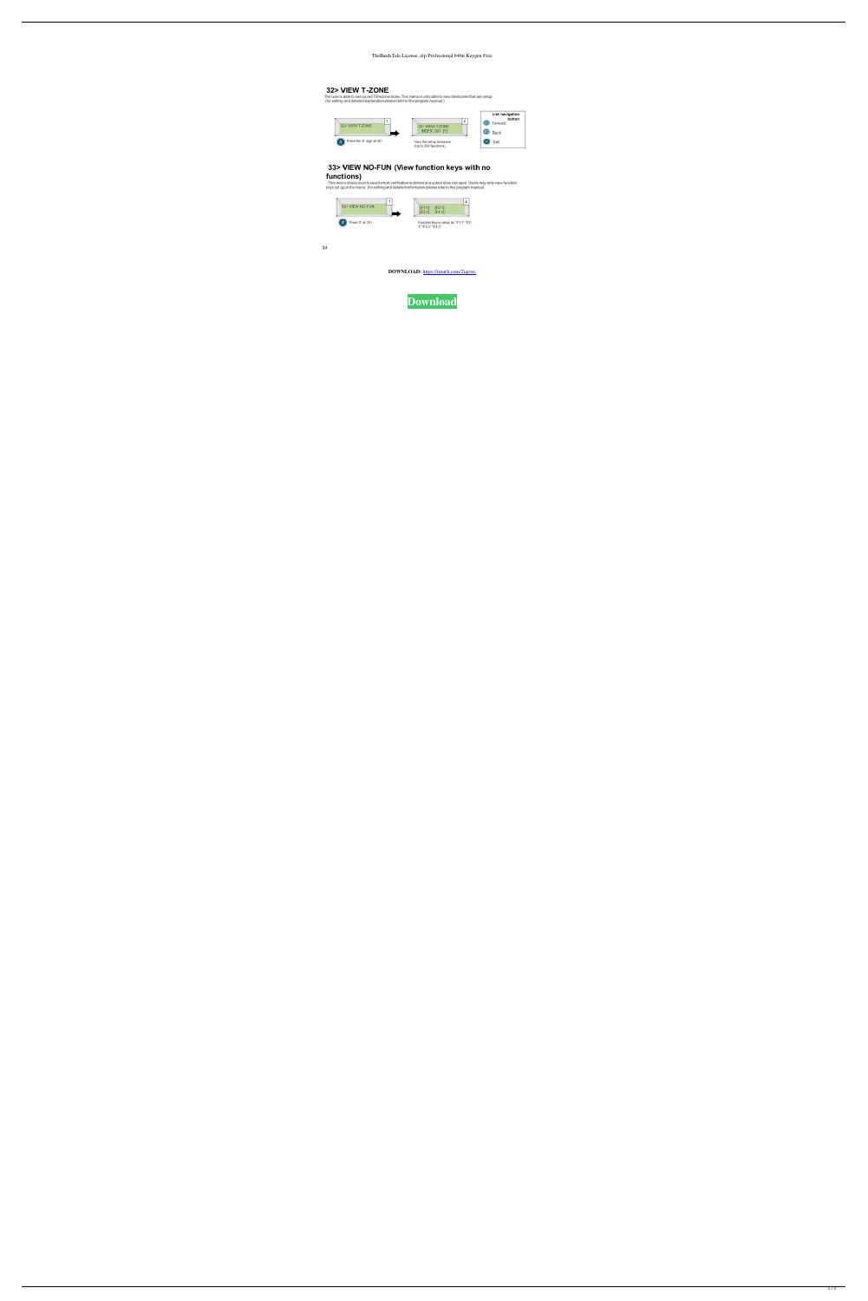## TheBardsTale License .zip Professional 64bit Keygen Free

## 32> VIEW T-ZONE

The user is able to see saved Timezone Index. This menu is only able to view timezones that are setup.<br>(for editing and detailed explanation please refer to the program manual.)



## 33> VIEW NO-FUN (View function keys with no

functions)<br>This menu shows events saved when verification is denied and a door does not open. Users may only view function<br>keys set up in the menu. (for editing and detailed information please refer to the program manual.



 $34$ 

DOWNLOAD: https://tinurli.com/2iqewc